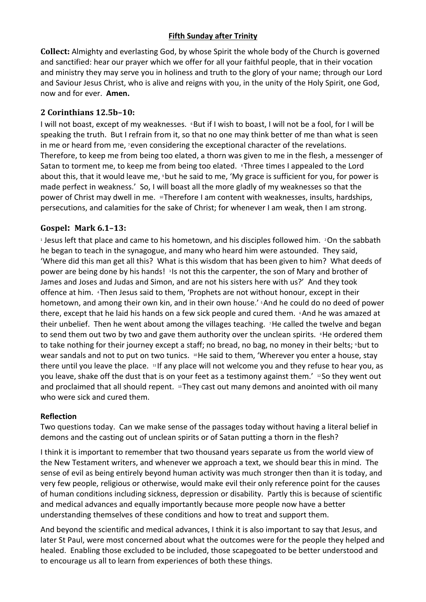## **Fifth Sunday after Trinity**

**Collect:** Almighty and everlasting God, by whose Spirit the whole body of the Church is governed and sanctified: hear our prayer which we offer for all your faithful people, that in their vocation and ministry they may serve you in holiness and truth to the glory of your name; through our Lord and Saviour Jesus Christ, who is alive and reigns with you, in the unity of the Holy Spirit, one God, now and for ever. **Amen.**

## **2 Corinthians 12.5b–10:**

I will not boast, except of my weaknesses. *But if I wish to boast, I will not be a fool, for I will be* speaking the truth. But I refrain from it, so that no one may think better of me than what is seen in me or heard from me, *reven considering the exceptional character of the revelations.* Therefore, to keep me from being too elated, a thorn was given to me in the flesh, a messenger of Satan to torment me, to keep me from being too elated. *I***nfice times I** appealed to the Lord about this, that it would leave me, *S* but he said to me, 'My grace is sufficient for you, for power is made perfect in weakness.' So, I will boast all the more gladly of my weaknesses so that the power of Christ may dwell in me. <sup>10</sup> Therefore I am content with weaknesses, insults, hardships, persecutions, and calamities for the sake of Christ; for whenever I am weak, then I am strong.

## **Gospel: Mark 6.1–13:**

<sup>1</sup> Jesus left that place and came to his hometown, and his disciples followed him. <sup>2</sup>On the sabbath he began to teach in the synagogue, and many who heard him were astounded. They said, 'Where did this man get all this? What is this wisdom that has been given to him? What deeds of power are being done by his hands! <sup>3</sup> Is not this the carpenter, the son of Mary and brother of James and Joses and Judas and Simon, and are not his sisters here with us?' And they took offence at him. <sup>4</sup>Then Jesus said to them, 'Prophets are not without honour, except in their hometown, and among their own kin, and in their own house.' <sup>5</sup> And he could do no deed of power there, except that he laid his hands on a few sick people and cured them.  $\epsilon$ And he was amazed at their unbelief. Then he went about among the villages teaching. 7He called the twelve and began to send them out two by two and gave them authority over the unclean spirits. <sup>8</sup>He ordered them to take nothing for their journey except a staff; no bread, no bag, no money in their belts; 9 but to wear sandals and not to put on two tunics. <sup>10</sup>He said to them, 'Wherever you enter a house, stay there until you leave the place. <sup>11</sup> If any place will not welcome you and they refuse to hear you, as you leave, shake off the dust that is on your feet as a testimony against them.' <sup>12</sup> So they went out and proclaimed that all should repent. 13 They cast out many demons and anointed with oil many who were sick and cured them.

## **Reflection**

Two questions today. Can we make sense of the passages today without having a literal belief in demons and the casting out of unclean spirits or of Satan putting a thorn in the flesh?

I think it is important to remember that two thousand years separate us from the world view of the New Testament writers, and whenever we approach a text, we should bear this in mind. The sense of evil as being entirely beyond human activity was much stronger then than it is today, and very few people, religious or otherwise, would make evil their only reference point for the causes of human conditions including sickness, depression or disability. Partly this is because of scientific and medical advances and equally importantly because more people now have a better understanding themselves of these conditions and how to treat and support them.

And beyond the scientific and medical advances, I think it is also important to say that Jesus, and later St Paul, were most concerned about what the outcomes were for the people they helped and healed. Enabling those excluded to be included, those scapegoated to be better understood and to encourage us all to learn from experiences of both these things.